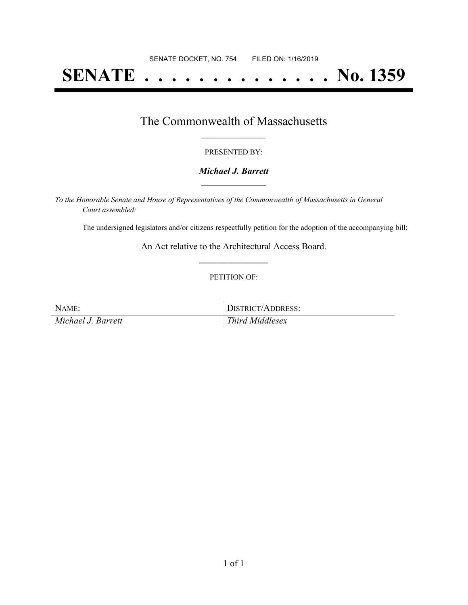# **SENATE . . . . . . . . . . . . . . No. 1359**

## The Commonwealth of Massachusetts **\_\_\_\_\_\_\_\_\_\_\_\_\_\_\_\_\_**

#### PRESENTED BY:

#### *Michael J. Barrett* **\_\_\_\_\_\_\_\_\_\_\_\_\_\_\_\_\_**

*To the Honorable Senate and House of Representatives of the Commonwealth of Massachusetts in General Court assembled:*

The undersigned legislators and/or citizens respectfully petition for the adoption of the accompanying bill:

An Act relative to the Architectural Access Board. **\_\_\_\_\_\_\_\_\_\_\_\_\_\_\_**

#### PETITION OF:

NAME: DISTRICT/ADDRESS: *Michael J. Barrett Third Middlesex*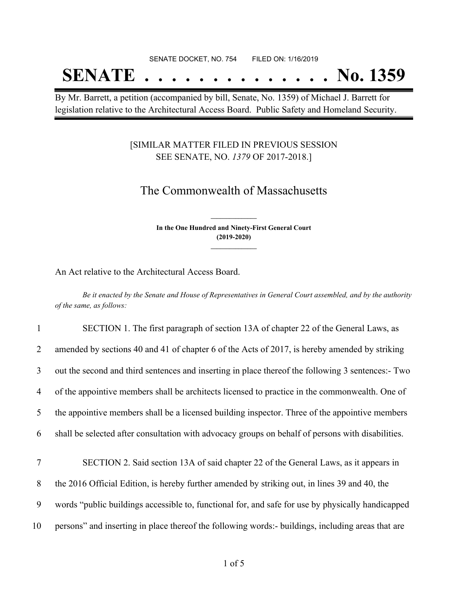## **SENATE . . . . . . . . . . . . . . No. 1359**

By Mr. Barrett, a petition (accompanied by bill, Senate, No. 1359) of Michael J. Barrett for legislation relative to the Architectural Access Board. Public Safety and Homeland Security.

### [SIMILAR MATTER FILED IN PREVIOUS SESSION SEE SENATE, NO. *1379* OF 2017-2018.]

### The Commonwealth of Massachusetts

**In the One Hundred and Ninety-First General Court (2019-2020) \_\_\_\_\_\_\_\_\_\_\_\_\_\_\_**

**\_\_\_\_\_\_\_\_\_\_\_\_\_\_\_**

An Act relative to the Architectural Access Board.

Be it enacted by the Senate and House of Representatives in General Court assembled, and by the authority *of the same, as follows:*

 SECTION 1. The first paragraph of section 13A of chapter 22 of the General Laws, as amended by sections 40 and 41 of chapter 6 of the Acts of 2017, is hereby amended by striking out the second and third sentences and inserting in place thereof the following 3 sentences:- Two of the appointive members shall be architects licensed to practice in the commonwealth. One of the appointive members shall be a licensed building inspector. Three of the appointive members shall be selected after consultation with advocacy groups on behalf of persons with disabilities. SECTION 2. Said section 13A of said chapter 22 of the General Laws, as it appears in the 2016 Official Edition, is hereby further amended by striking out, in lines 39 and 40, the words "public buildings accessible to, functional for, and safe for use by physically handicapped persons" and inserting in place thereof the following words:- buildings, including areas that are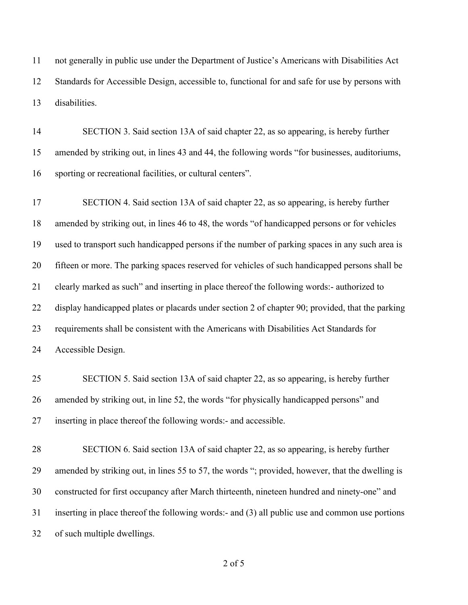not generally in public use under the Department of Justice's Americans with Disabilities Act Standards for Accessible Design, accessible to, functional for and safe for use by persons with disabilities.

 SECTION 3. Said section 13A of said chapter 22, as so appearing, is hereby further amended by striking out, in lines 43 and 44, the following words "for businesses, auditoriums, sporting or recreational facilities, or cultural centers".

 SECTION 4. Said section 13A of said chapter 22, as so appearing, is hereby further amended by striking out, in lines 46 to 48, the words "of handicapped persons or for vehicles used to transport such handicapped persons if the number of parking spaces in any such area is fifteen or more. The parking spaces reserved for vehicles of such handicapped persons shall be clearly marked as such" and inserting in place thereof the following words:- authorized to display handicapped plates or placards under section 2 of chapter 90; provided, that the parking requirements shall be consistent with the Americans with Disabilities Act Standards for Accessible Design.

 SECTION 5. Said section 13A of said chapter 22, as so appearing, is hereby further amended by striking out, in line 52, the words "for physically handicapped persons" and inserting in place thereof the following words:- and accessible.

 SECTION 6. Said section 13A of said chapter 22, as so appearing, is hereby further amended by striking out, in lines 55 to 57, the words "; provided, however, that the dwelling is constructed for first occupancy after March thirteenth, nineteen hundred and ninety-one" and inserting in place thereof the following words:- and (3) all public use and common use portions of such multiple dwellings.

of 5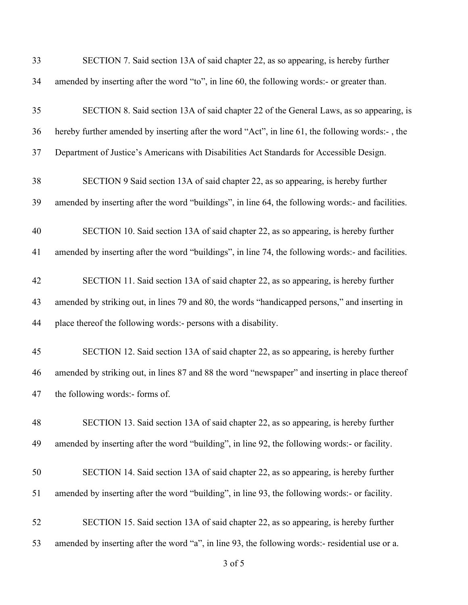| 33 | SECTION 7. Said section 13A of said chapter 22, as so appearing, is hereby further                 |
|----|----------------------------------------------------------------------------------------------------|
| 34 | amended by inserting after the word "to", in line 60, the following words:- or greater than.       |
| 35 | SECTION 8. Said section 13A of said chapter 22 of the General Laws, as so appearing, is            |
| 36 | hereby further amended by inserting after the word "Act", in line 61, the following words:-, the   |
| 37 | Department of Justice's Americans with Disabilities Act Standards for Accessible Design.           |
| 38 | SECTION 9 Said section 13A of said chapter 22, as so appearing, is hereby further                  |
| 39 | amended by inserting after the word "buildings", in line 64, the following words:- and facilities. |
| 40 | SECTION 10. Said section 13A of said chapter 22, as so appearing, is hereby further                |
| 41 | amended by inserting after the word "buildings", in line 74, the following words:- and facilities. |
| 42 | SECTION 11. Said section 13A of said chapter 22, as so appearing, is hereby further                |
| 43 | amended by striking out, in lines 79 and 80, the words "handicapped persons," and inserting in     |
| 44 | place thereof the following words:- persons with a disability.                                     |
| 45 | SECTION 12. Said section 13A of said chapter 22, as so appearing, is hereby further                |
| 46 | amended by striking out, in lines 87 and 88 the word "newspaper" and inserting in place thereof    |
| 47 | the following words:- forms of.                                                                    |
| 48 | SECTION 13. Said section 13A of said chapter 22, as so appearing, is hereby further                |
| 49 | amended by inserting after the word "building", in line 92, the following words:- or facility.     |
| 50 | SECTION 14. Said section 13A of said chapter 22, as so appearing, is hereby further                |
| 51 | amended by inserting after the word "building", in line 93, the following words:- or facility.     |
| 52 | SECTION 15. Said section 13A of said chapter 22, as so appearing, is hereby further                |
| 53 | amended by inserting after the word "a", in line 93, the following words:- residential use or a.   |

of 5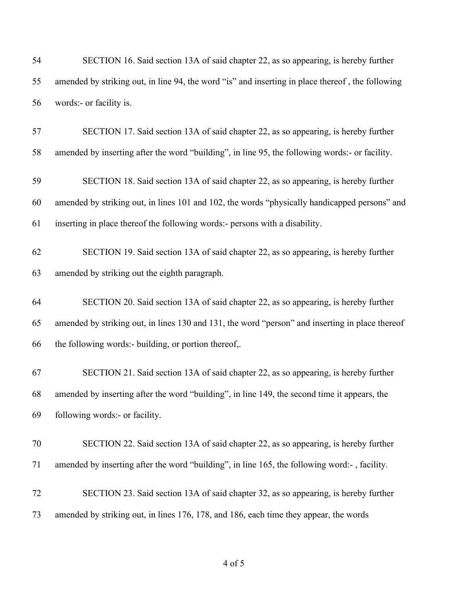| 54 | SECTION 16. Said section 13A of said chapter 22, as so appearing, is hereby further              |
|----|--------------------------------------------------------------------------------------------------|
| 55 | amended by striking out, in line 94, the word "is" and inserting in place thereof, the following |
| 56 | words:- or facility is.                                                                          |
| 57 | SECTION 17. Said section 13A of said chapter 22, as so appearing, is hereby further              |
| 58 | amended by inserting after the word "building", in line 95, the following words:- or facility.   |
| 59 | SECTION 18. Said section 13A of said chapter 22, as so appearing, is hereby further              |
| 60 | amended by striking out, in lines 101 and 102, the words "physically handicapped persons" and    |
| 61 | inserting in place thereof the following words:- persons with a disability.                      |
| 62 | SECTION 19. Said section 13A of said chapter 22, as so appearing, is hereby further              |
| 63 | amended by striking out the eighth paragraph.                                                    |
| 64 | SECTION 20. Said section 13A of said chapter 22, as so appearing, is hereby further              |
| 65 | amended by striking out, in lines 130 and 131, the word "person" and inserting in place thereof  |
| 66 | the following words:- building, or portion thereof,.                                             |
| 67 | SECTION 21. Said section 13A of said chapter 22, as so appearing, is hereby further              |
| 68 | amended by inserting after the word "building", in line 149, the second time it appears, the     |
| 69 | following words:- or facility.                                                                   |
| 70 | SECTION 22. Said section 13A of said chapter 22, as so appearing, is hereby further              |
| 71 | amended by inserting after the word "building", in line 165, the following word:-, facility.     |
| 72 | SECTION 23. Said section 13A of said chapter 32, as so appearing, is hereby further              |
| 73 | amended by striking out, in lines 176, 178, and 186, each time they appear, the words            |
|    |                                                                                                  |

of 5